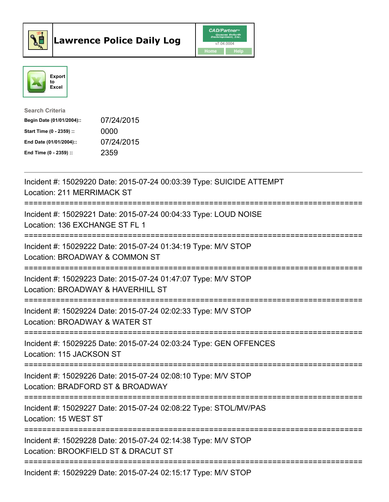



| <b>Search Criteria</b>    |            |
|---------------------------|------------|
| Begin Date (01/01/2004):: | 07/24/2015 |
| Start Time (0 - 2359) ::  | 0000       |
| End Date (01/01/2004)::   | 07/24/2015 |
| End Time $(0 - 2359)$ :   | 2359       |

| Incident #: 15029220 Date: 2015-07-24 00:03:39 Type: SUICIDE ATTEMPT<br><b>Location: 211 MERRIMACK ST</b>                                      |
|------------------------------------------------------------------------------------------------------------------------------------------------|
| Incident #: 15029221 Date: 2015-07-24 00:04:33 Type: LOUD NOISE<br>Location: 136 EXCHANGE ST FL 1                                              |
| Incident #: 15029222 Date: 2015-07-24 01:34:19 Type: M/V STOP<br>Location: BROADWAY & COMMON ST<br>----------------------                      |
| Incident #: 15029223 Date: 2015-07-24 01:47:07 Type: M/V STOP<br>Location: BROADWAY & HAVERHILL ST<br>-----------------------                  |
| Incident #: 15029224 Date: 2015-07-24 02:02:33 Type: M/V STOP<br>Location: BROADWAY & WATER ST<br>:=====================                       |
| Incident #: 15029225 Date: 2015-07-24 02:03:24 Type: GEN OFFENCES<br>Location: 115 JACKSON ST                                                  |
| -----------------------------------<br>Incident #: 15029226 Date: 2015-07-24 02:08:10 Type: M/V STOP<br>Location: BRADFORD ST & BROADWAY       |
| -----------------------------<br>Incident #: 15029227 Date: 2015-07-24 02:08:22 Type: STOL/MV/PAS<br>Location: 15 WEST ST                      |
| ======================================<br>Incident #: 15029228 Date: 2015-07-24 02:14:38 Type: M/V STOP<br>Location: BROOKFIELD ST & DRACUT ST |
| Incident #: 15029229 Date: 2015-07-24 02:15:17 Type: M/V STOP                                                                                  |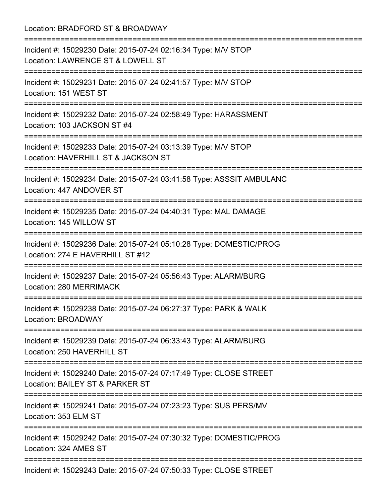Location: BRADFORD ST & BROADWAY =========================================================================== Incident #: 15029230 Date: 2015-07-24 02:16:34 Type: M/V STOP Location: LAWRENCE ST & LOWELL ST =========================================================================== Incident #: 15029231 Date: 2015-07-24 02:41:57 Type: M/V STOP Location: 151 WEST ST =========================================================================== Incident #: 15029232 Date: 2015-07-24 02:58:49 Type: HARASSMENT Location: 103 JACKSON ST #4 =========================================================================== Incident #: 15029233 Date: 2015-07-24 03:13:39 Type: M/V STOP Location: HAVERHILL ST & JACKSON ST =========================================================================== Incident #: 15029234 Date: 2015-07-24 03:41:58 Type: ASSSIT AMBULANC Location: 447 ANDOVER ST =========================================================================== Incident #: 15029235 Date: 2015-07-24 04:40:31 Type: MAL DAMAGE Location: 145 WILLOW ST =========================================================================== Incident #: 15029236 Date: 2015-07-24 05:10:28 Type: DOMESTIC/PROG Location: 274 E HAVERHILL ST #12 =========================================================================== Incident #: 15029237 Date: 2015-07-24 05:56:43 Type: ALARM/BURG Location: 280 MERRIMACK =========================================================================== Incident #: 15029238 Date: 2015-07-24 06:27:37 Type: PARK & WALK Location: BROADWAY =========================================================================== Incident #: 15029239 Date: 2015-07-24 06:33:43 Type: ALARM/BURG Location: 250 HAVERHILL ST =========================================================================== Incident #: 15029240 Date: 2015-07-24 07:17:49 Type: CLOSE STREET Location: BAILEY ST & PARKER ST =========================================================================== Incident #: 15029241 Date: 2015-07-24 07:23:23 Type: SUS PERS/MV Location: 353 ELM ST =========================================================================== Incident #: 15029242 Date: 2015-07-24 07:30:32 Type: DOMESTIC/PROG Location: 324 AMES ST =========================================================================== Incident #: 15029243 Date: 2015-07-24 07:50:33 Type: CLOSE STREET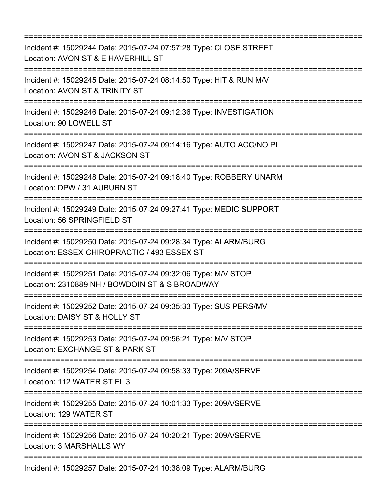=========================================================================== Incident #: 15029244 Date: 2015-07-24 07:57:28 Type: CLOSE STREET Location: AVON ST & E HAVERHILL ST =========================================================================== Incident #: 15029245 Date: 2015-07-24 08:14:50 Type: HIT & RUN M/V Location: AVON ST & TRINITY ST =========================================================================== Incident #: 15029246 Date: 2015-07-24 09:12:36 Type: INVESTIGATION Location: 90 LOWELL ST =========================================================================== Incident #: 15029247 Date: 2015-07-24 09:14:16 Type: AUTO ACC/NO PI Location: AVON ST & JACKSON ST =========================================================================== Incident #: 15029248 Date: 2015-07-24 09:18:40 Type: ROBBERY UNARM Location: DPW / 31 AUBURN ST =========================================================================== Incident #: 15029249 Date: 2015-07-24 09:27:41 Type: MEDIC SUPPORT Location: 56 SPRINGFIELD ST =========================================================================== Incident #: 15029250 Date: 2015-07-24 09:28:34 Type: ALARM/BURG Location: ESSEX CHIROPRACTIC / 493 ESSEX ST =========================================================================== Incident #: 15029251 Date: 2015-07-24 09:32:06 Type: M/V STOP Location: 2310889 NH / BOWDOIN ST & S BROADWAY =========================================================================== Incident #: 15029252 Date: 2015-07-24 09:35:33 Type: SUS PERS/MV Location: DAISY ST & HOLLY ST =========================================================================== Incident #: 15029253 Date: 2015-07-24 09:56:21 Type: M/V STOP Location: EXCHANGE ST & PARK ST =========================================================================== Incident #: 15029254 Date: 2015-07-24 09:58:33 Type: 209A/SERVE Location: 112 WATER ST FL 3 =========================================================================== Incident #: 15029255 Date: 2015-07-24 10:01:33 Type: 209A/SERVE Location: 129 WATER ST =========================================================================== Incident #: 15029256 Date: 2015-07-24 10:20:21 Type: 209A/SERVE Location: 3 MARSHALLS WY =========================================================================== Incident #: 15029257 Date: 2015-07-24 10:38:09 Type: ALARM/BURG

Location: MUNOZ RESD / 115 FERRY ST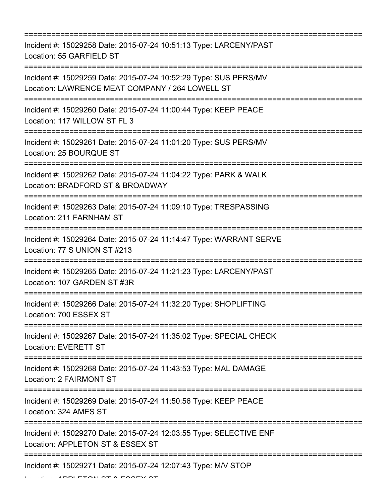=========================================================================== Incident #: 15029258 Date: 2015-07-24 10:51:13 Type: LARCENY/PAST Location: 55 GARFIELD ST =========================================================================== Incident #: 15029259 Date: 2015-07-24 10:52:29 Type: SUS PERS/MV Location: LAWRENCE MEAT COMPANY / 264 LOWELL ST =========================================================================== Incident #: 15029260 Date: 2015-07-24 11:00:44 Type: KEEP PEACE Location: 117 WILLOW ST FL 3 =========================================================================== Incident #: 15029261 Date: 2015-07-24 11:01:20 Type: SUS PERS/MV Location: 25 BOURQUE ST =========================================================================== Incident #: 15029262 Date: 2015-07-24 11:04:22 Type: PARK & WALK Location: BRADFORD ST & BROADWAY =========================================================================== Incident #: 15029263 Date: 2015-07-24 11:09:10 Type: TRESPASSING Location: 211 FARNHAM ST =========================================================================== Incident #: 15029264 Date: 2015-07-24 11:14:47 Type: WARRANT SERVE Location: 77 S UNION ST #213 =========================================================================== Incident #: 15029265 Date: 2015-07-24 11:21:23 Type: LARCENY/PAST Location: 107 GARDEN ST #3R =========================================================================== Incident #: 15029266 Date: 2015-07-24 11:32:20 Type: SHOPLIFTING Location: 700 ESSEX ST =========================================================================== Incident #: 15029267 Date: 2015-07-24 11:35:02 Type: SPECIAL CHECK Location: EVERETT ST =========================================================================== Incident #: 15029268 Date: 2015-07-24 11:43:53 Type: MAL DAMAGE Location: 2 FAIRMONT ST =========================================================================== Incident #: 15029269 Date: 2015-07-24 11:50:56 Type: KEEP PEACE Location: 324 AMES ST =========================================================================== Incident #: 15029270 Date: 2015-07-24 12:03:55 Type: SELECTIVE ENF Location: APPLETON ST & ESSEX ST =========================================================================== Incident #: 15029271 Date: 2015-07-24 12:07:43 Type: M/V STOP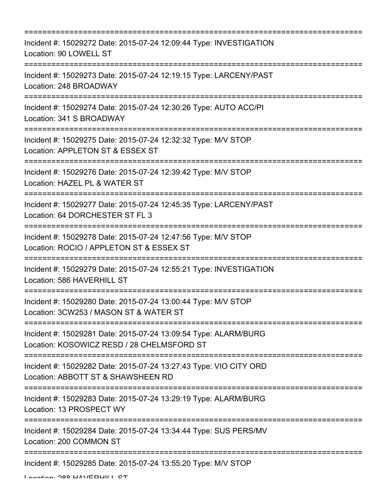| -----------------------                                                                                                              |
|--------------------------------------------------------------------------------------------------------------------------------------|
| Incident #: 15029272 Date: 2015-07-24 12:09:44 Type: INVESTIGATION<br>Location: 90 LOWELL ST                                         |
| Incident #: 15029273 Date: 2015-07-24 12:19:15 Type: LARCENY/PAST<br>Location: 248 BROADWAY<br>===================================== |
| Incident #: 15029274 Date: 2015-07-24 12:30:26 Type: AUTO ACC/PI<br>Location: 341 S BROADWAY                                         |
| Incident #: 15029275 Date: 2015-07-24 12:32:32 Type: M/V STOP<br>Location: APPLETON ST & ESSEX ST                                    |
| Incident #: 15029276 Date: 2015-07-24 12:39:42 Type: M/V STOP<br>Location: HAZEL PL & WATER ST                                       |
| Incident #: 15029277 Date: 2015-07-24 12:45:35 Type: LARCENY/PAST<br>Location: 64 DORCHESTER ST FL 3                                 |
| Incident #: 15029278 Date: 2015-07-24 12:47:56 Type: M/V STOP<br>Location: ROCIO / APPLETON ST & ESSEX ST                            |
| Incident #: 15029279 Date: 2015-07-24 12:55:21 Type: INVESTIGATION<br>Location: 586 HAVERHILL ST                                     |
| Incident #: 15029280 Date: 2015-07-24 13:00:44 Type: M/V STOP<br>Location: 3CW253 / MASON ST & WATER ST                              |
| Incident #: 15029281 Date: 2015-07-24 13:09:54 Type: ALARM/BURG<br>Location: KOSOWICZ RESD / 28 CHELMSFORD ST                        |
| Incident #: 15029282 Date: 2015-07-24 13:27:43 Type: VIO CITY ORD<br>Location: ABBOTT ST & SHAWSHEEN RD                              |
| :=======================<br>Incident #: 15029283 Date: 2015-07-24 13:29:19 Type: ALARM/BURG<br>Location: 13 PROSPECT WY              |
| Incident #: 15029284 Date: 2015-07-24 13:34:44 Type: SUS PERS/MV<br>Location: 200 COMMON ST                                          |
| Incident #: 15029285 Date: 2015-07-24 13:55:20 Type: M/V STOP                                                                        |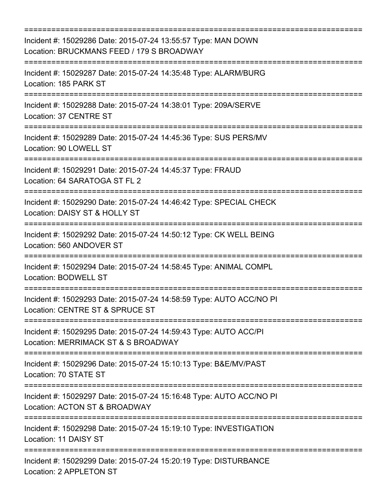| Incident #: 15029286 Date: 2015-07-24 13:55:57 Type: MAN DOWN<br>Location: BRUCKMANS FEED / 179 S BROADWAY<br>=====================================           |
|---------------------------------------------------------------------------------------------------------------------------------------------------------------|
| Incident #: 15029287 Date: 2015-07-24 14:35:48 Type: ALARM/BURG<br>Location: 185 PARK ST<br>==================================<br>--------------------------- |
| Incident #: 15029288 Date: 2015-07-24 14:38:01 Type: 209A/SERVE<br>Location: 37 CENTRE ST                                                                     |
| Incident #: 15029289 Date: 2015-07-24 14:45:36 Type: SUS PERS/MV<br>Location: 90 LOWELL ST                                                                    |
| Incident #: 15029291 Date: 2015-07-24 14:45:37 Type: FRAUD<br>Location: 64 SARATOGA ST FL 2                                                                   |
| Incident #: 15029290 Date: 2015-07-24 14:46:42 Type: SPECIAL CHECK<br>Location: DAISY ST & HOLLY ST                                                           |
| =========================<br>Incident #: 15029292 Date: 2015-07-24 14:50:12 Type: CK WELL BEING<br>Location: 560 ANDOVER ST                                   |
| Incident #: 15029294 Date: 2015-07-24 14:58:45 Type: ANIMAL COMPL<br>Location: BODWELL ST                                                                     |
| Incident #: 15029293 Date: 2015-07-24 14:58:59 Type: AUTO ACC/NO PI<br>Location: CENTRE ST & SPRUCE ST                                                        |
| Incident #: 15029295 Date: 2015-07-24 14:59:43 Type: AUTO ACC/PI<br>Location: MERRIMACK ST & S BROADWAY                                                       |
| Incident #: 15029296 Date: 2015-07-24 15:10:13 Type: B&E/MV/PAST<br>Location: 70 STATE ST                                                                     |
| :=====================================<br>Incident #: 15029297 Date: 2015-07-24 15:16:48 Type: AUTO ACC/NO PI<br>Location: ACTON ST & BROADWAY                |
| Incident #: 15029298 Date: 2015-07-24 15:19:10 Type: INVESTIGATION<br>Location: 11 DAISY ST                                                                   |
| Incident #: 15029299 Date: 2015-07-24 15:20:19 Type: DISTURBANCE<br>Location: 2 APPLETON ST                                                                   |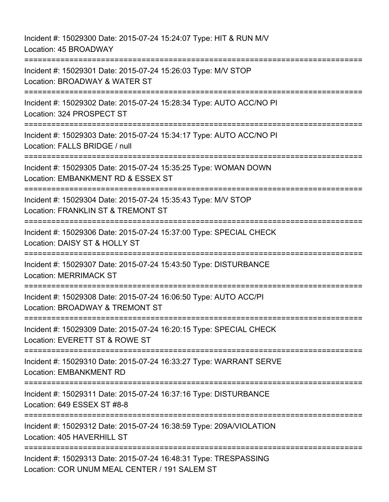Incident #: 15029300 Date: 2015-07-24 15:24:07 Type: HIT & RUN M/V Location: 45 BROADWAY =========================================================================== Incident #: 15029301 Date: 2015-07-24 15:26:03 Type: M/V STOP Location: BROADWAY & WATER ST =========================================================================== Incident #: 15029302 Date: 2015-07-24 15:28:34 Type: AUTO ACC/NO PI Location: 324 PROSPECT ST =========================================================================== Incident #: 15029303 Date: 2015-07-24 15:34:17 Type: AUTO ACC/NO PI Location: FALLS BRIDGE / null =========================================================================== Incident #: 15029305 Date: 2015-07-24 15:35:25 Type: WOMAN DOWN Location: EMBANKMENT RD & ESSEX ST =========================================================================== Incident #: 15029304 Date: 2015-07-24 15:35:43 Type: M/V STOP Location: FRANKLIN ST & TREMONT ST =========================================================================== Incident #: 15029306 Date: 2015-07-24 15:37:00 Type: SPECIAL CHECK Location: DAISY ST & HOLLY ST =========================================================================== Incident #: 15029307 Date: 2015-07-24 15:43:50 Type: DISTURBANCE Location: MERRIMACK ST =========================================================================== Incident #: 15029308 Date: 2015-07-24 16:06:50 Type: AUTO ACC/PI Location: BROADWAY & TREMONT ST =========================================================================== Incident #: 15029309 Date: 2015-07-24 16:20:15 Type: SPECIAL CHECK Location: EVERETT ST & ROWE ST =========================================================================== Incident #: 15029310 Date: 2015-07-24 16:33:27 Type: WARRANT SERVE Location: EMBANKMENT RD =========================================================================== Incident #: 15029311 Date: 2015-07-24 16:37:16 Type: DISTURBANCE Location: 649 ESSEX ST #8-8 =========================================================================== Incident #: 15029312 Date: 2015-07-24 16:38:59 Type: 209A/VIOLATION Location: 405 HAVERHILL ST ============================ Incident #: 15029313 Date: 2015-07-24 16:48:31 Type: TRESPASSING Location: COR UNUM MEAL CENTER / 191 SALEM ST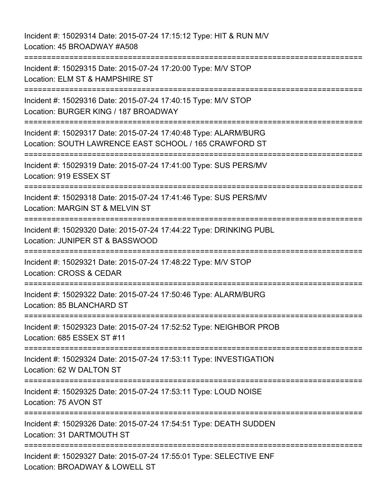Incident #: 15029314 Date: 2015-07-24 17:15:12 Type: HIT & RUN M/V Location: 45 BROADWAY #A508 =========================================================================== Incident #: 15029315 Date: 2015-07-24 17:20:00 Type: M/V STOP Location: ELM ST & HAMPSHIRE ST =========================================================================== Incident #: 15029316 Date: 2015-07-24 17:40:15 Type: M/V STOP Location: BURGER KING / 187 BROADWAY =========================================================================== Incident #: 15029317 Date: 2015-07-24 17:40:48 Type: ALARM/BURG Location: SOUTH LAWRENCE EAST SCHOOL / 165 CRAWFORD ST =========================================================================== Incident #: 15029319 Date: 2015-07-24 17:41:00 Type: SUS PERS/MV Location: 919 ESSEX ST =========================================================================== Incident #: 15029318 Date: 2015-07-24 17:41:46 Type: SUS PERS/MV Location: MARGIN ST & MELVIN ST =========================================================================== Incident #: 15029320 Date: 2015-07-24 17:44:22 Type: DRINKING PUBL Location: JUNIPER ST & BASSWOOD =========================================================================== Incident #: 15029321 Date: 2015-07-24 17:48:22 Type: M/V STOP Location: CROSS & CEDAR ============================= Incident #: 15029322 Date: 2015-07-24 17:50:46 Type: ALARM/BURG Location: 85 BLANCHARD ST =========================================================================== Incident #: 15029323 Date: 2015-07-24 17:52:52 Type: NEIGHBOR PROB Location: 685 ESSEX ST #11 =========================================================================== Incident #: 15029324 Date: 2015-07-24 17:53:11 Type: INVESTIGATION Location: 62 W DALTON ST =========================================================================== Incident #: 15029325 Date: 2015-07-24 17:53:11 Type: LOUD NOISE Location: 75 AVON ST =========================================================================== Incident #: 15029326 Date: 2015-07-24 17:54:51 Type: DEATH SUDDEN Location: 31 DARTMOUTH ST =========================================================================== Incident #: 15029327 Date: 2015-07-24 17:55:01 Type: SELECTIVE ENF Location: BROADWAY & LOWELL ST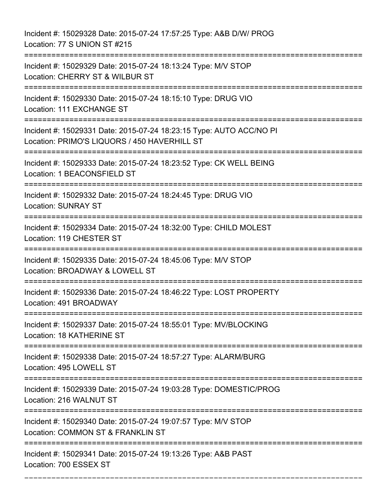Incident #: 15029328 Date: 2015-07-24 17:57:25 Type: A&B D/W/ PROG Location: 77 S UNION ST #215 =========================================================================== Incident #: 15029329 Date: 2015-07-24 18:13:24 Type: M/V STOP Location: CHERRY ST & WILBUR ST =========================================================================== Incident #: 15029330 Date: 2015-07-24 18:15:10 Type: DRUG VIO Location: 111 EXCHANGE ST =========================================================================== Incident #: 15029331 Date: 2015-07-24 18:23:15 Type: AUTO ACC/NO PI Location: PRIMO'S LIQUORS / 450 HAVERHILL ST =========================================================================== Incident #: 15029333 Date: 2015-07-24 18:23:52 Type: CK WELL BEING Location: 1 BEACONSFIELD ST =========================================================================== Incident #: 15029332 Date: 2015-07-24 18:24:45 Type: DRUG VIO Location: SUNRAY ST =========================================================================== Incident #: 15029334 Date: 2015-07-24 18:32:00 Type: CHILD MOLEST Location: 119 CHESTER ST =========================================================================== Incident #: 15029335 Date: 2015-07-24 18:45:06 Type: M/V STOP Location: BROADWAY & LOWELL ST =========================================================================== Incident #: 15029336 Date: 2015-07-24 18:46:22 Type: LOST PROPERTY Location: 491 BROADWAY =========================================================================== Incident #: 15029337 Date: 2015-07-24 18:55:01 Type: MV/BLOCKING Location: 18 KATHERINE ST =========================================================================== Incident #: 15029338 Date: 2015-07-24 18:57:27 Type: ALARM/BURG Location: 495 LOWELL ST =========================================================================== Incident #: 15029339 Date: 2015-07-24 19:03:28 Type: DOMESTIC/PROG Location: 216 WALNUT ST =========================================================================== Incident #: 15029340 Date: 2015-07-24 19:07:57 Type: M/V STOP Location: COMMON ST & FRANKLIN ST =========================================================================== Incident #: 15029341 Date: 2015-07-24 19:13:26 Type: A&B PAST Location: 700 ESSEX ST

===========================================================================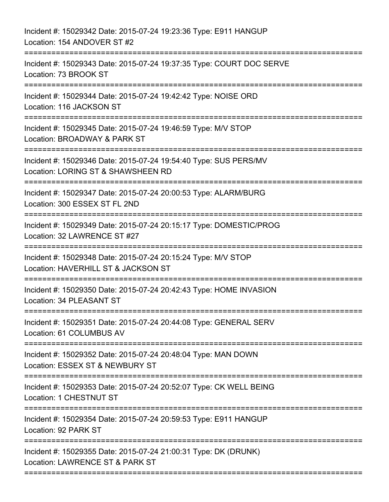| Incident #: 15029342 Date: 2015-07-24 19:23:36 Type: E911 HANGUP<br>Location: 154 ANDOVER ST #2                                    |
|------------------------------------------------------------------------------------------------------------------------------------|
| Incident #: 15029343 Date: 2015-07-24 19:37:35 Type: COURT DOC SERVE<br>Location: 73 BROOK ST                                      |
| Incident #: 15029344 Date: 2015-07-24 19:42:42 Type: NOISE ORD<br>Location: 116 JACKSON ST                                         |
| Incident #: 15029345 Date: 2015-07-24 19:46:59 Type: M/V STOP<br>Location: BROADWAY & PARK ST                                      |
| Incident #: 15029346 Date: 2015-07-24 19:54:40 Type: SUS PERS/MV<br>Location: LORING ST & SHAWSHEEN RD<br>------------------------ |
| Incident #: 15029347 Date: 2015-07-24 20:00:53 Type: ALARM/BURG<br>Location: 300 ESSEX ST FL 2ND                                   |
| Incident #: 15029349 Date: 2015-07-24 20:15:17 Type: DOMESTIC/PROG<br>Location: 32 LAWRENCE ST #27                                 |
| Incident #: 15029348 Date: 2015-07-24 20:15:24 Type: M/V STOP<br>Location: HAVERHILL ST & JACKSON ST                               |
| Incident #: 15029350 Date: 2015-07-24 20:42:43 Type: HOME INVASION<br>Location: 34 PLEASANT ST                                     |
| Incident #: 15029351 Date: 2015-07-24 20:44:08 Type: GENERAL SERV<br>Location: 61 COLUMBUS AV<br>==========================        |
| Incident #: 15029352 Date: 2015-07-24 20:48:04 Type: MAN DOWN<br>Location: ESSEX ST & NEWBURY ST                                   |
| Incident #: 15029353 Date: 2015-07-24 20:52:07 Type: CK WELL BEING<br>Location: 1 CHESTNUT ST                                      |
| Incident #: 15029354 Date: 2015-07-24 20:59:53 Type: E911 HANGUP<br>Location: 92 PARK ST                                           |
| Incident #: 15029355 Date: 2015-07-24 21:00:31 Type: DK (DRUNK)<br>Location: LAWRENCE ST & PARK ST                                 |
|                                                                                                                                    |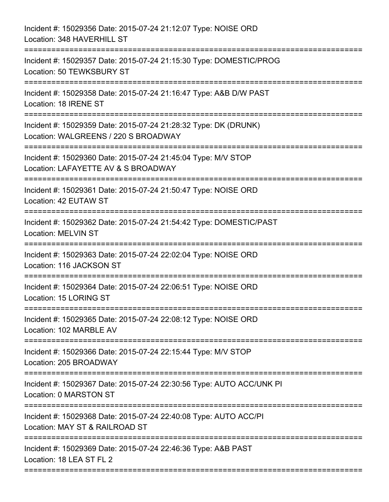| Incident #: 15029356 Date: 2015-07-24 21:12:07 Type: NOISE ORD<br>Location: 348 HAVERHILL ST                                     |
|----------------------------------------------------------------------------------------------------------------------------------|
| Incident #: 15029357 Date: 2015-07-24 21:15:30 Type: DOMESTIC/PROG<br>Location: 50 TEWKSBURY ST<br>=====================         |
| Incident #: 15029358 Date: 2015-07-24 21:16:47 Type: A&B D/W PAST<br>Location: 18 IRENE ST                                       |
| Incident #: 15029359 Date: 2015-07-24 21:28:32 Type: DK (DRUNK)<br>Location: WALGREENS / 220 S BROADWAY<br>===================== |
| Incident #: 15029360 Date: 2015-07-24 21:45:04 Type: M/V STOP<br>Location: LAFAYETTE AV & S BROADWAY                             |
| Incident #: 15029361 Date: 2015-07-24 21:50:47 Type: NOISE ORD<br>Location: 42 EUTAW ST                                          |
| Incident #: 15029362 Date: 2015-07-24 21:54:42 Type: DOMESTIC/PAST<br><b>Location: MELVIN ST</b>                                 |
| Incident #: 15029363 Date: 2015-07-24 22:02:04 Type: NOISE ORD<br>Location: 116 JACKSON ST<br>===================                |
| Incident #: 15029364 Date: 2015-07-24 22:06:51 Type: NOISE ORD<br>Location: 15 LORING ST                                         |
| Incident #: 15029365 Date: 2015-07-24 22:08:12 Type: NOISE ORD<br>Location: 102 MARBLE AV                                        |
| Incident #: 15029366 Date: 2015-07-24 22:15:44 Type: M/V STOP<br>Location: 205 BROADWAY                                          |
| Incident #: 15029367 Date: 2015-07-24 22:30:56 Type: AUTO ACC/UNK PI<br>Location: 0 MARSTON ST                                   |
| Incident #: 15029368 Date: 2015-07-24 22:40:08 Type: AUTO ACC/PI<br>Location: MAY ST & RAILROAD ST                               |
| Incident #: 15029369 Date: 2015-07-24 22:46:36 Type: A&B PAST<br>Location: 18 LEA ST FL 2                                        |
|                                                                                                                                  |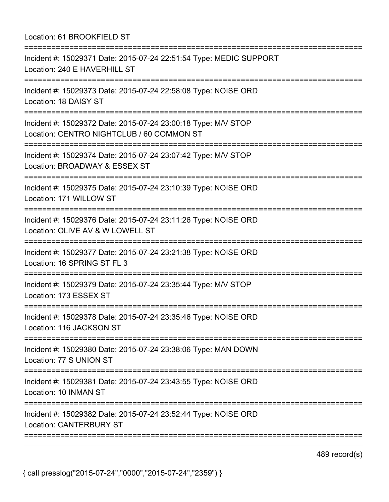Location: 61 BROOKFIELD ST

| Incident #: 15029371 Date: 2015-07-24 22:51:54 Type: MEDIC SUPPORT<br>Location: 240 E HAVERHILL ST                               |
|----------------------------------------------------------------------------------------------------------------------------------|
| Incident #: 15029373 Date: 2015-07-24 22:58:08 Type: NOISE ORD<br>Location: 18 DAISY ST<br>----------------------------------    |
| Incident #: 15029372 Date: 2015-07-24 23:00:18 Type: M/V STOP<br>Location: CENTRO NIGHTCLUB / 60 COMMON ST                       |
| Incident #: 15029374 Date: 2015-07-24 23:07:42 Type: M/V STOP<br>Location: BROADWAY & ESSEX ST<br>=======================        |
| Incident #: 15029375 Date: 2015-07-24 23:10:39 Type: NOISE ORD<br>Location: 171 WILLOW ST                                        |
| Incident #: 15029376 Date: 2015-07-24 23:11:26 Type: NOISE ORD<br>Location: OLIVE AV & W LOWELL ST                               |
| Incident #: 15029377 Date: 2015-07-24 23:21:38 Type: NOISE ORD<br>Location: 16 SPRING ST FL 3                                    |
| Incident #: 15029379 Date: 2015-07-24 23:35:44 Type: M/V STOP<br>Location: 173 ESSEX ST<br>===================================== |
| Incident #: 15029378 Date: 2015-07-24 23:35:46 Type: NOISE ORD<br>Location: 116 JACKSON ST                                       |
| Incident #: 15029380 Date: 2015-07-24 23:38:06 Type: MAN DOWN<br>Location: 77 S UNION ST                                         |
| Incident #: 15029381 Date: 2015-07-24 23:43:55 Type: NOISE ORD<br>Location: 10 INMAN ST                                          |
| Incident #: 15029382 Date: 2015-07-24 23:52:44 Type: NOISE ORD<br><b>Location: CANTERBURY ST</b>                                 |
|                                                                                                                                  |